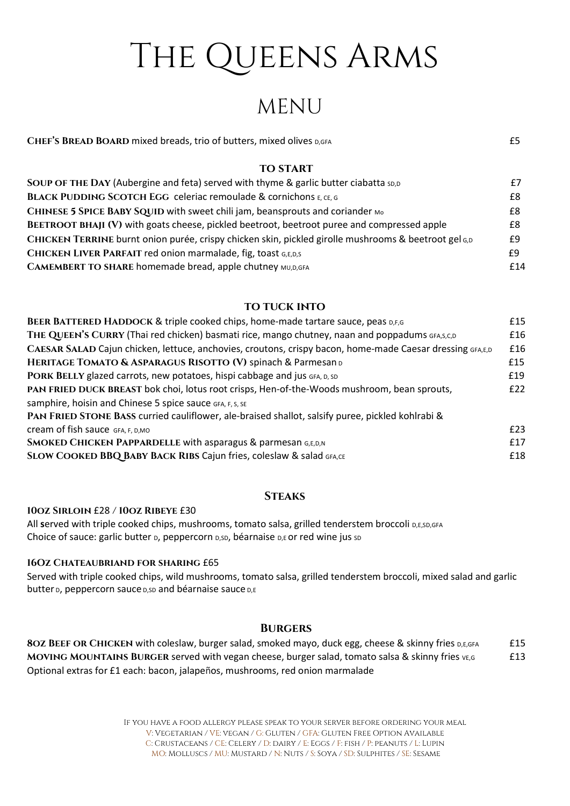# THE QUEENS ARMS

# MENU

| CHEF'S BREAD BOARD mixed breads, trio of butters, mixed olives D,GFA |  |
|----------------------------------------------------------------------|--|
|                                                                      |  |

#### **TO START**

| SOUP OF THE DAY (Aubergine and feta) served with thyme & garlic butter ciabatta sp,p                 | £7  |
|------------------------------------------------------------------------------------------------------|-----|
| <b>BLACK PUDDING SCOTCH EGG celeriac remoulade &amp; cornichons E, CE, G</b>                         | £8  |
| CHINESE 5 SPICE BABY SQUID with sweet chili jam, beansprouts and coriander Mo                        | £8  |
| <b>BEETROOT BHAJI (V)</b> with goats cheese, pickled beetroot, beetroot puree and compressed apple   | £8  |
| CHICKEN TERRINE burnt onion purée, crispy chicken skin, pickled girolle mushrooms & beetroot gel 6,D | £9  |
| CHICKEN LIVER PARFAIT red onion marmalade, fig, toast G,E,D,S                                        | £9  |
| <b>CAMEMBERT TO SHARE homemade bread, apple chutney MU,D,GFA</b>                                     | £14 |

### **TO TUCK INTO**

| BEER BATTERED HADDOCK & triple cooked chips, home-made tartare sauce, peas D,F,G                          | £15 |
|-----------------------------------------------------------------------------------------------------------|-----|
| THE QUEEN'S CURRY (Thai red chicken) basmati rice, mango chutney, naan and poppadums GFA, S, C, D         | £16 |
| CAESAR SALAD Cajun chicken, lettuce, anchovies, croutons, crispy bacon, home-made Caesar dressing GFA,E,D | £16 |
| HERITAGE TOMATO & ASPARAGUS RISOTTO (V) spinach & Parmesan D                                              | £15 |
| PORK BELLY glazed carrots, new potatoes, hispi cabbage and jus GFA, D, SD                                 | £19 |
| PAN FRIED DUCK BREAST bok choi, lotus root crisps, Hen-of-the-Woods mushroom, bean sprouts,               | E22 |
| samphire, hoisin and Chinese 5 spice sauce GFA, F, S, SE                                                  |     |
| PAN FRIED STONE BASS curried cauliflower, ale-braised shallot, salsify puree, pickled kohlrabi &          |     |
| Cream of fish sauce GFA, F, D, MO                                                                         | £23 |
| <b>SMOKED CHICKEN PAPPARDELLE with asparagus &amp; parmesan G,E,D,N</b>                                   | £17 |
| SLOW COOKED BBQ BABY BACK RIBS Cajun fries, coleslaw & salad GFA,CE                                       | £18 |

### **STEAKS**

10oz Sirloin £28 / 10oz Ribeye £30

All served with triple cooked chips, mushrooms, tomato salsa, grilled tenderstem broccoli D,E,SD,GFA Choice of sauce: garlic butter D, peppercorn D,SD, béarnaise D,E or red wine jus SD

### 16Oz Chateaubriand for sharing £65

Served with triple cooked chips, wild mushrooms, tomato salsa, grilled tenderstem broccoli, mixed salad and garlic butter D, peppercorn sauce D,SD and béarnaise sauce D,E

### **BURGERS**

8OZ BEEF OR CHICKEN with coleslaw, burger salad, smoked mayo, duck egg, cheese & skinny fries D,E,GFA £15 MOVING MOUNTAINS BURGER served with vegan cheese, burger salad, tomato salsa & skinny fries VE,G E13 Optional extras for £1 each: bacon, jalapeños, mushrooms, red onion marmalade

> If you have a food allergy please speak to your server before ordering your meal V: Vegetarian / VE: vegan / G: Gluten / GFA: Gluten Free Option Available C: CRUSTACEANS / CE: CELERY / D: DAIRY / E: EGGS / F: FISH / P: PEANUTS / L: LUPIN MO: Molluscs / MU: Mustard / N: Nuts / S: Soya / SD: Sulphites / SE: Sesame